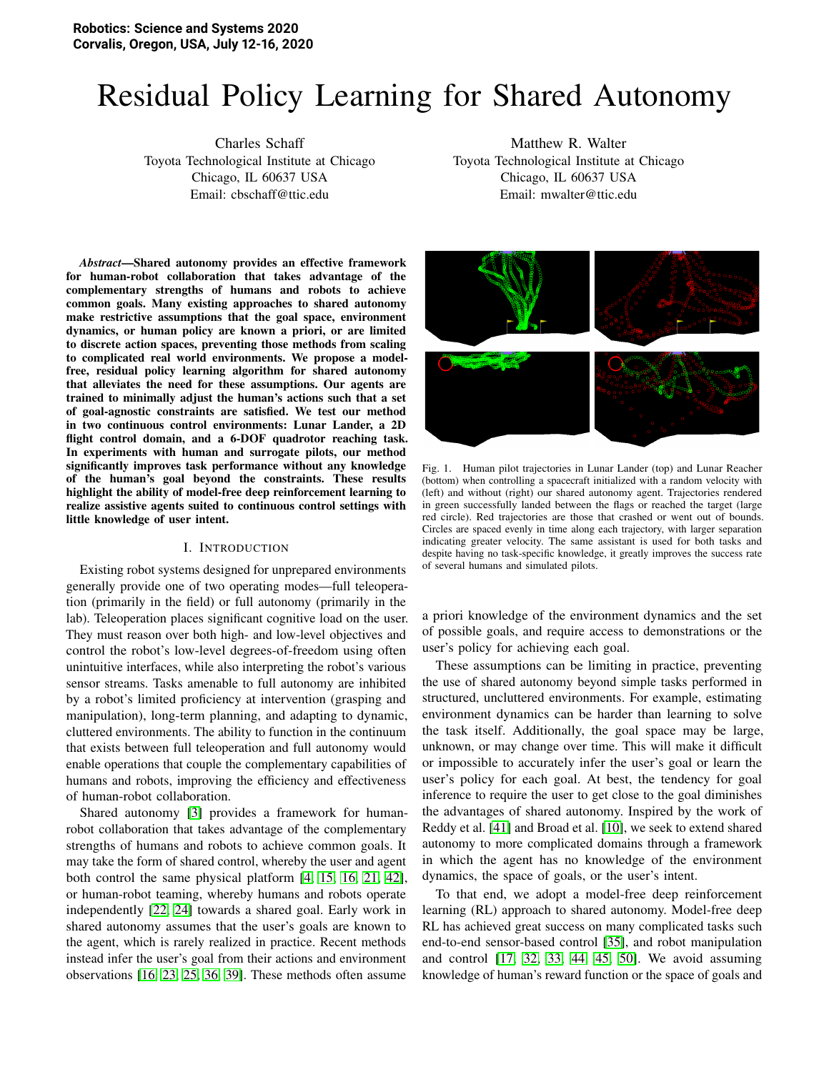# Residual Policy Learning for Shared Autonomy

Charles Schaff Toyota Technological Institute at Chicago Chicago, IL 60637 USA Email: cbschaff@ttic.edu

*Abstract*—Shared autonomy provides an effective framework for human-robot collaboration that takes advantage of the complementary strengths of humans and robots to achieve common goals. Many existing approaches to shared autonomy make restrictive assumptions that the goal space, environment dynamics, or human policy are known a priori, or are limited to discrete action spaces, preventing those methods from scaling to complicated real world environments. We propose a modelfree, residual policy learning algorithm for shared autonomy that alleviates the need for these assumptions. Our agents are trained to minimally adjust the human's actions such that a set of goal-agnostic constraints are satisfied. We test our method in two continuous control environments: Lunar Lander, a 2D flight control domain, and a 6-DOF quadrotor reaching task. In experiments with human and surrogate pilots, our method significantly improves task performance without any knowledge of the human's goal beyond the constraints. These results highlight the ability of model-free deep reinforcement learning to realize assistive agents suited to continuous control settings with little knowledge of user intent.

#### I. INTRODUCTION

Existing robot systems designed for unprepared environments generally provide one of two operating modes—full teleoperation (primarily in the field) or full autonomy (primarily in the lab). Teleoperation places significant cognitive load on the user. They must reason over both high- and low-level objectives and control the robot's low-level degrees-of-freedom using often unintuitive interfaces, while also interpreting the robot's various sensor streams. Tasks amenable to full autonomy are inhibited by a robot's limited proficiency at intervention (grasping and manipulation), long-term planning, and adapting to dynamic, cluttered environments. The ability to function in the continuum that exists between full teleoperation and full autonomy would enable operations that couple the complementary capabilities of humans and robots, improving the efficiency and effectiveness of human-robot collaboration.

Shared autonomy [\[3\]](#page-8-0) provides a framework for humanrobot collaboration that takes advantage of the complementary strengths of humans and robots to achieve common goals. It may take the form of shared control, whereby the user and agent both control the same physical platform [\[4,](#page-8-1) [15,](#page-8-2) [16,](#page-8-3) [21,](#page-8-4) [42\]](#page-9-0), or human-robot teaming, whereby humans and robots operate independently [\[22,](#page-8-5) [24\]](#page-8-6) towards a shared goal. Early work in shared autonomy assumes that the user's goals are known to the agent, which is rarely realized in practice. Recent methods instead infer the user's goal from their actions and environment observations [\[16,](#page-8-3) [23,](#page-8-7) [25,](#page-8-8) [36,](#page-9-1) [39\]](#page-9-2). These methods often assume

Matthew R. Walter Toyota Technological Institute at Chicago Chicago, IL 60637 USA Email: mwalter@ttic.edu



Fig. 1. Human pilot trajectories in Lunar Lander (top) and Lunar Reacher (bottom) when controlling a spacecraft initialized with a random velocity with (left) and without (right) our shared autonomy agent. Trajectories rendered in green successfully landed between the flags or reached the target (large red circle). Red trajectories are those that crashed or went out of bounds. Circles are spaced evenly in time along each trajectory, with larger separation indicating greater velocity. The same assistant is used for both tasks and despite having no task-specific knowledge, it greatly improves the success rate of several humans and simulated pilots.

a priori knowledge of the environment dynamics and the set of possible goals, and require access to demonstrations or the user's policy for achieving each goal.

These assumptions can be limiting in practice, preventing the use of shared autonomy beyond simple tasks performed in structured, uncluttered environments. For example, estimating environment dynamics can be harder than learning to solve the task itself. Additionally, the goal space may be large, unknown, or may change over time. This will make it difficult or impossible to accurately infer the user's goal or learn the user's policy for each goal. At best, the tendency for goal inference to require the user to get close to the goal diminishes the advantages of shared autonomy. Inspired by the work of Reddy et al. [\[41\]](#page-9-3) and Broad et al. [\[10\]](#page-8-9), we seek to extend shared autonomy to more complicated domains through a framework in which the agent has no knowledge of the environment dynamics, the space of goals, or the user's intent.

To that end, we adopt a model-free deep reinforcement learning (RL) approach to shared autonomy. Model-free deep RL has achieved great success on many complicated tasks such end-to-end sensor-based control [\[35\]](#page-8-10), and robot manipulation and control [\[17,](#page-8-11) [32,](#page-8-12) [33,](#page-8-13) [44,](#page-9-4) [45,](#page-9-5) [50\]](#page-9-6). We avoid assuming knowledge of human's reward function or the space of goals and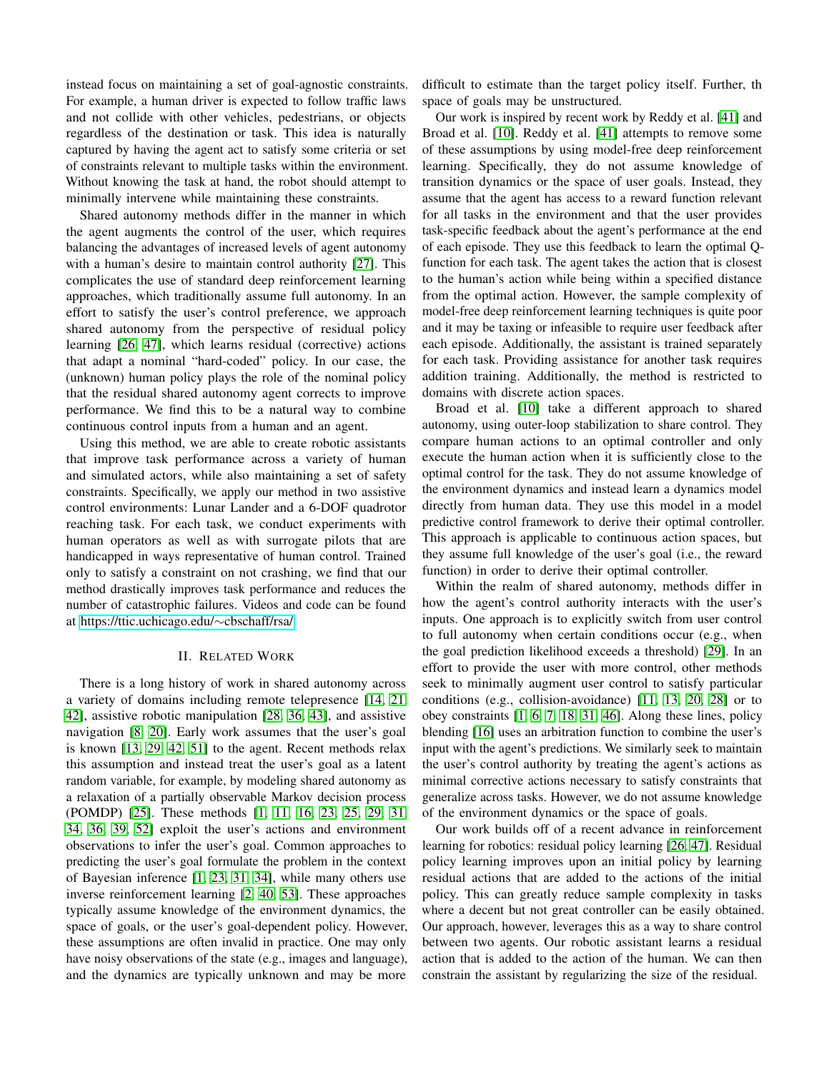instead focus on maintaining a set of goal-agnostic constraints. For example, a human driver is expected to follow traffic laws and not collide with other vehicles, pedestrians, or objects regardless of the destination or task. This idea is naturally captured by having the agent act to satisfy some criteria or set of constraints relevant to multiple tasks within the environment. Without knowing the task at hand, the robot should attempt to minimally intervene while maintaining these constraints.

Shared autonomy methods differ in the manner in which the agent augments the control of the user, which requires balancing the advantages of increased levels of agent autonomy with a human's desire to maintain control authority [\[27\]](#page-8-14). This complicates the use of standard deep reinforcement learning approaches, which traditionally assume full autonomy. In an effort to satisfy the user's control preference, we approach shared autonomy from the perspective of residual policy learning [\[26,](#page-8-15) [47\]](#page-9-7), which learns residual (corrective) actions that adapt a nominal "hard-coded" policy. In our case, the (unknown) human policy plays the role of the nominal policy that the residual shared autonomy agent corrects to improve performance. We find this to be a natural way to combine continuous control inputs from a human and an agent.

Using this method, we are able to create robotic assistants that improve task performance across a variety of human and simulated actors, while also maintaining a set of safety constraints. Specifically, we apply our method in two assistive control environments: Lunar Lander and a 6-DOF quadrotor reaching task. For each task, we conduct experiments with human operators as well as with surrogate pilots that are handicapped in ways representative of human control. Trained only to satisfy a constraint on not crashing, we find that our method drastically improves task performance and reduces the number of catastrophic failures. Videos and code can be found at [https://ttic.uchicago.edu/](https://ttic.uchicago.edu/~cbschaff/rsa/)∼cbschaff/rsa/.

## II. RELATED WORK

There is a long history of work in shared autonomy across a variety of domains including remote telepresence [\[14,](#page-8-16) [21,](#page-8-4) [42\]](#page-9-0), assistive robotic manipulation [\[28,](#page-8-17) [36,](#page-9-1) [43\]](#page-9-8), and assistive navigation [\[8,](#page-8-18) [20\]](#page-8-19). Early work assumes that the user's goal is known [\[13,](#page-8-20) [29,](#page-8-21) [42,](#page-9-0) [51\]](#page-9-9) to the agent. Recent methods relax this assumption and instead treat the user's goal as a latent random variable, for example, by modeling shared autonomy as a relaxation of a partially observable Markov decision process (POMDP) [\[25\]](#page-8-8). These methods [\[1,](#page-8-22) [11,](#page-8-23) [16,](#page-8-3) [23,](#page-8-7) [25,](#page-8-8) [29,](#page-8-21) [31,](#page-8-24) [34,](#page-8-25) [36,](#page-9-1) [39,](#page-9-2) [52\]](#page-9-10) exploit the user's actions and environment observations to infer the user's goal. Common approaches to predicting the user's goal formulate the problem in the context of Bayesian inference [\[1,](#page-8-22) [23,](#page-8-7) [31,](#page-8-24) [34\]](#page-8-25), while many others use inverse reinforcement learning [\[2,](#page-8-26) [40,](#page-9-11) [53\]](#page-9-12). These approaches typically assume knowledge of the environment dynamics, the space of goals, or the user's goal-dependent policy. However, these assumptions are often invalid in practice. One may only have noisy observations of the state (e.g., images and language), and the dynamics are typically unknown and may be more

difficult to estimate than the target policy itself. Further, th space of goals may be unstructured.

Our work is inspired by recent work by Reddy et al. [\[41\]](#page-9-3) and Broad et al. [\[10\]](#page-8-9). Reddy et al. [\[41\]](#page-9-3) attempts to remove some of these assumptions by using model-free deep reinforcement learning. Specifically, they do not assume knowledge of transition dynamics or the space of user goals. Instead, they assume that the agent has access to a reward function relevant for all tasks in the environment and that the user provides task-specific feedback about the agent's performance at the end of each episode. They use this feedback to learn the optimal Qfunction for each task. The agent takes the action that is closest to the human's action while being within a specified distance from the optimal action. However, the sample complexity of model-free deep reinforcement learning techniques is quite poor and it may be taxing or infeasible to require user feedback after each episode. Additionally, the assistant is trained separately for each task. Providing assistance for another task requires addition training. Additionally, the method is restricted to domains with discrete action spaces.

Broad et al. [\[10\]](#page-8-9) take a different approach to shared autonomy, using outer-loop stabilization to share control. They compare human actions to an optimal controller and only execute the human action when it is sufficiently close to the optimal control for the task. They do not assume knowledge of the environment dynamics and instead learn a dynamics model directly from human data. They use this model in a model predictive control framework to derive their optimal controller. This approach is applicable to continuous action spaces, but they assume full knowledge of the user's goal (i.e., the reward function) in order to derive their optimal controller.

Within the realm of shared autonomy, methods differ in how the agent's control authority interacts with the user's inputs. One approach is to explicitly switch from user control to full autonomy when certain conditions occur (e.g., when the goal prediction likelihood exceeds a threshold) [\[29\]](#page-8-21). In an effort to provide the user with more control, other methods seek to minimally augment user control to satisfy particular conditions (e.g., collision-avoidance) [\[11,](#page-8-23) [13,](#page-8-20) [20,](#page-8-19) [28\]](#page-8-17) or to obey constraints [\[1,](#page-8-22) [6,](#page-8-27) [7,](#page-8-28) [18,](#page-8-29) [31,](#page-8-24) [46\]](#page-9-13). Along these lines, policy blending [\[16\]](#page-8-3) uses an arbitration function to combine the user's input with the agent's predictions. We similarly seek to maintain the user's control authority by treating the agent's actions as minimal corrective actions necessary to satisfy constraints that generalize across tasks. However, we do not assume knowledge of the environment dynamics or the space of goals.

Our work builds off of a recent advance in reinforcement learning for robotics: residual policy learning [\[26,](#page-8-15) [47\]](#page-9-7). Residual policy learning improves upon an initial policy by learning residual actions that are added to the actions of the initial policy. This can greatly reduce sample complexity in tasks where a decent but not great controller can be easily obtained. Our approach, however, leverages this as a way to share control between two agents. Our robotic assistant learns a residual action that is added to the action of the human. We can then constrain the assistant by regularizing the size of the residual.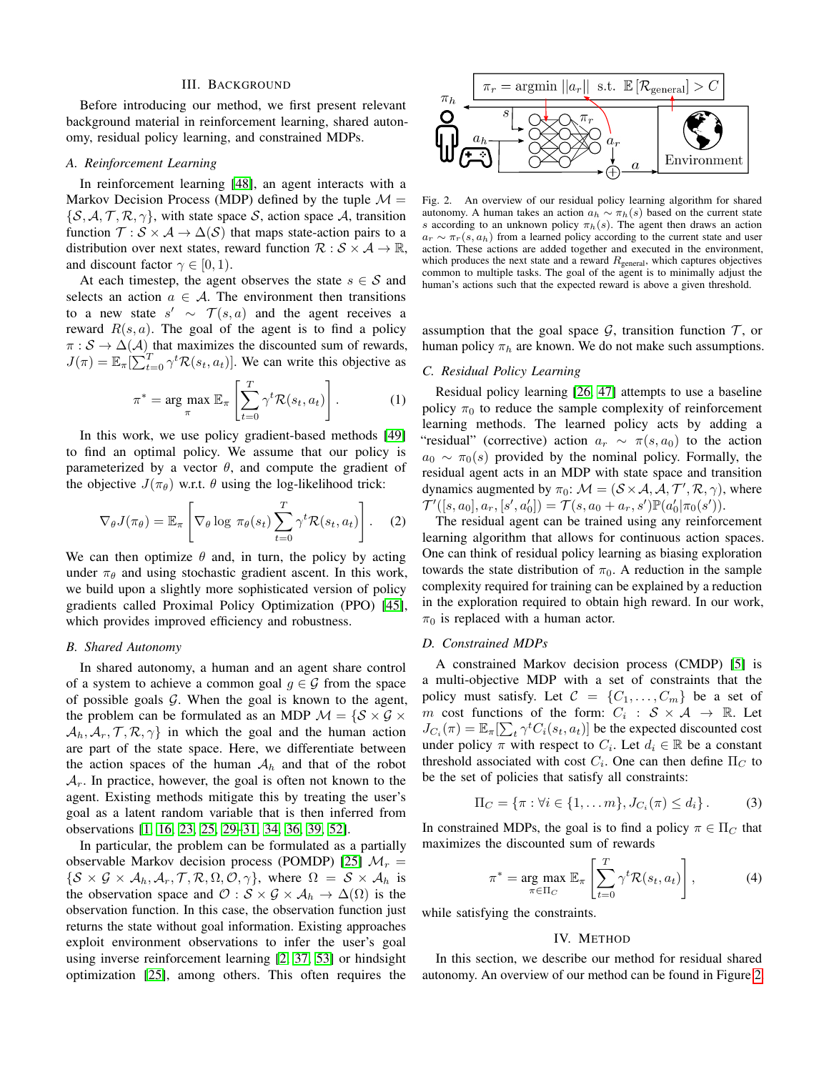#### III. BACKGROUND

Before introducing our method, we first present relevant background material in reinforcement learning, shared autonomy, residual policy learning, and constrained MDPs.

## *A. Reinforcement Learning*

In reinforcement learning [\[48\]](#page-9-14), an agent interacts with a Markov Decision Process (MDP) defined by the tuple  $\mathcal{M} =$  $\{\mathcal{S}, \mathcal{A}, \mathcal{T}, \mathcal{R}, \gamma\}$ , with state space  $\mathcal{S}$ , action space  $\mathcal{A}$ , transition function  $\mathcal{T}: \mathcal{S} \times \mathcal{A} \rightarrow \Delta(\mathcal{S})$  that maps state-action pairs to a distribution over next states, reward function  $\mathcal{R}: \mathcal{S} \times \mathcal{A} \rightarrow \mathbb{R}$ , and discount factor  $\gamma \in [0, 1)$ .

At each timestep, the agent observes the state  $s \in \mathcal{S}$  and selects an action  $a \in \mathcal{A}$ . The environment then transitions to a new state  $s' \sim \mathcal{T}(s, a)$  and the agent receives a reward  $R(s, a)$ . The goal of the agent is to find a policy  $\pi : \mathcal{S} \to \Delta(\mathcal{A})$  that maximizes the discounted sum of rewards,  $J(\pi) = \mathbb{E}_{\pi}[\sum_{t=0}^{T} \gamma^t \mathcal{R}(s_t, a_t)].$  We can write this objective as

$$
\pi^* = \arg \max_{\pi} \mathbb{E}_{\pi} \left[ \sum_{t=0}^T \gamma^t \mathcal{R}(s_t, a_t) \right]. \tag{1}
$$

In this work, we use policy gradient-based methods [\[49\]](#page-9-15) to find an optimal policy. We assume that our policy is parameterized by a vector  $\theta$ , and compute the gradient of the objective  $J(\pi_{\theta})$  w.r.t.  $\theta$  using the log-likelihood trick:

$$
\nabla_{\theta} J(\pi_{\theta}) = \mathbb{E}_{\pi} \left[ \nabla_{\theta} \log \pi_{\theta}(s_t) \sum_{t=0}^{T} \gamma^t \mathcal{R}(s_t, a_t) \right].
$$
 (2)

We can then optimize  $\theta$  and, in turn, the policy by acting under  $\pi_{\theta}$  and using stochastic gradient ascent. In this work, we build upon a slightly more sophisticated version of policy gradients called Proximal Policy Optimization (PPO) [\[45\]](#page-9-5), which provides improved efficiency and robustness.

## *B. Shared Autonomy*

In shared autonomy, a human and an agent share control of a system to achieve a common goal  $g \in \mathcal{G}$  from the space of possible goals  $G$ . When the goal is known to the agent, the problem can be formulated as an MDP  $\mathcal{M} = \{S \times \mathcal{G} \times \mathcal{G} \times \mathcal{G} \times \mathcal{G} \times \mathcal{G} \times \mathcal{G} \times \mathcal{G} \times \mathcal{G} \times \mathcal{G} \times \mathcal{G} \times \mathcal{G} \times \mathcal{G} \times \mathcal{G} \times \mathcal{G} \times \mathcal{G} \times \mathcal{G} \times \mathcal{G} \times \mathcal{G} \times \mathcal{G} \times \mathcal{G} \times \mathcal{G} \times$  $\mathcal{A}_h, \mathcal{A}_r, \mathcal{T}, \mathcal{R}, \gamma$  in which the goal and the human action are part of the state space. Here, we differentiate between the action spaces of the human  $A_h$  and that of the robot  $A_r$ . In practice, however, the goal is often not known to the agent. Existing methods mitigate this by treating the user's goal as a latent random variable that is then inferred from observations [\[1,](#page-8-22) [16,](#page-8-3) [23,](#page-8-7) [25,](#page-8-8) [29–](#page-8-21)[31,](#page-8-24) [34,](#page-8-25) [36,](#page-9-1) [39,](#page-9-2) [52\]](#page-9-10).

In particular, the problem can be formulated as a partially observable Markov decision process (POMDP) [\[25\]](#page-8-8)  $\mathcal{M}_r =$  $\{\mathcal{S} \times \mathcal{G} \times \mathcal{A}_h, \mathcal{A}_r, \mathcal{T}, \mathcal{R}, \Omega, \mathcal{O}, \gamma\},\$  where  $\Omega = \mathcal{S} \times \mathcal{A}_h$  is the observation space and  $\mathcal{O}: \mathcal{S} \times \mathcal{G} \times \mathcal{A}_h \to \Delta(\Omega)$  is the observation function. In this case, the observation function just returns the state without goal information. Existing approaches exploit environment observations to infer the user's goal using inverse reinforcement learning [\[2,](#page-8-26) [37,](#page-9-16) [53\]](#page-9-12) or hindsight optimization [\[25\]](#page-8-8), among others. This often requires the



<span id="page-2-0"></span>Fig. 2. An overview of our residual policy learning algorithm for shared autonomy. A human takes an action  $a_h \sim \pi_h(s)$  based on the current state s according to an unknown policy  $\pi_h(s)$ . The agent then draws an action  $a_r \sim \pi_r(s, a_h)$  from a learned policy according to the current state and user action. These actions are added together and executed in the environment, which produces the next state and a reward  $R_{\text{general}}$ , which captures objectives common to multiple tasks. The goal of the agent is to minimally adjust the human's actions such that the expected reward is above a given threshold.

assumption that the goal space  $G$ , transition function  $T$ , or human policy  $\pi_h$  are known. We do not make such assumptions.

# *C. Residual Policy Learning*

Residual policy learning [\[26,](#page-8-15) [47\]](#page-9-7) attempts to use a baseline policy  $\pi_0$  to reduce the sample complexity of reinforcement learning methods. The learned policy acts by adding a "residual" (corrective) action  $a_r \sim \pi(s, a_0)$  to the action  $a_0 \sim \pi_0(s)$  provided by the nominal policy. Formally, the residual agent acts in an MDP with state space and transition dynamics augmented by  $\pi_0$ :  $\mathcal{M} = (\mathcal{S} \times \mathcal{A}, \mathcal{A}, \mathcal{T}', \mathcal{R}, \gamma)$ , where  $\mathcal{T}'([s, a_0], a_r, [s', a'_0]) = \mathcal{T}(s, a_0 + a_r, s') \mathbb{P}(a'_0 | \pi_0(s')).$ 

The residual agent can be trained using any reinforcement learning algorithm that allows for continuous action spaces. One can think of residual policy learning as biasing exploration towards the state distribution of  $\pi_0$ . A reduction in the sample complexity required for training can be explained by a reduction in the exploration required to obtain high reward. In our work,  $\pi_0$  is replaced with a human actor.

# *D. Constrained MDPs*

A constrained Markov decision process (CMDP) [\[5\]](#page-8-30) is a multi-objective MDP with a set of constraints that the policy must satisfy. Let  $C = \{C_1, \ldots, C_m\}$  be a set of m cost functions of the form:  $C_i : S \times A \rightarrow \mathbb{R}$ . Let  $J_{C_i}(\pi) = \mathbb{E}_{\pi}[\sum_t \gamma^t C_i(s_t, a_t)]$  be the expected discounted cost under policy  $\pi$  with respect to  $C_i$ . Let  $d_i \in \mathbb{R}$  be a constant threshold associated with cost  $C_i$ . One can then define  $\Pi_C$  to be the set of policies that satisfy all constraints:

$$
\Pi_C = \{\pi : \forall i \in \{1, \dots m\}, J_{C_i}(\pi) \le d_i\}.
$$
 (3)

In constrained MDPs, the goal is to find a policy  $\pi \in \Pi_C$  that maximizes the discounted sum of rewards

$$
\pi^* = \underset{\pi \in \Pi_C}{\arg \max} \mathbb{E}_{\pi} \left[ \sum_{t=0}^T \gamma^t \mathcal{R}(s_t, a_t) \right], \tag{4}
$$

while satisfying the constraints.

#### IV. METHOD

In this section, we describe our method for residual shared autonomy. An overview of our method can be found in Figure [2.](#page-2-0)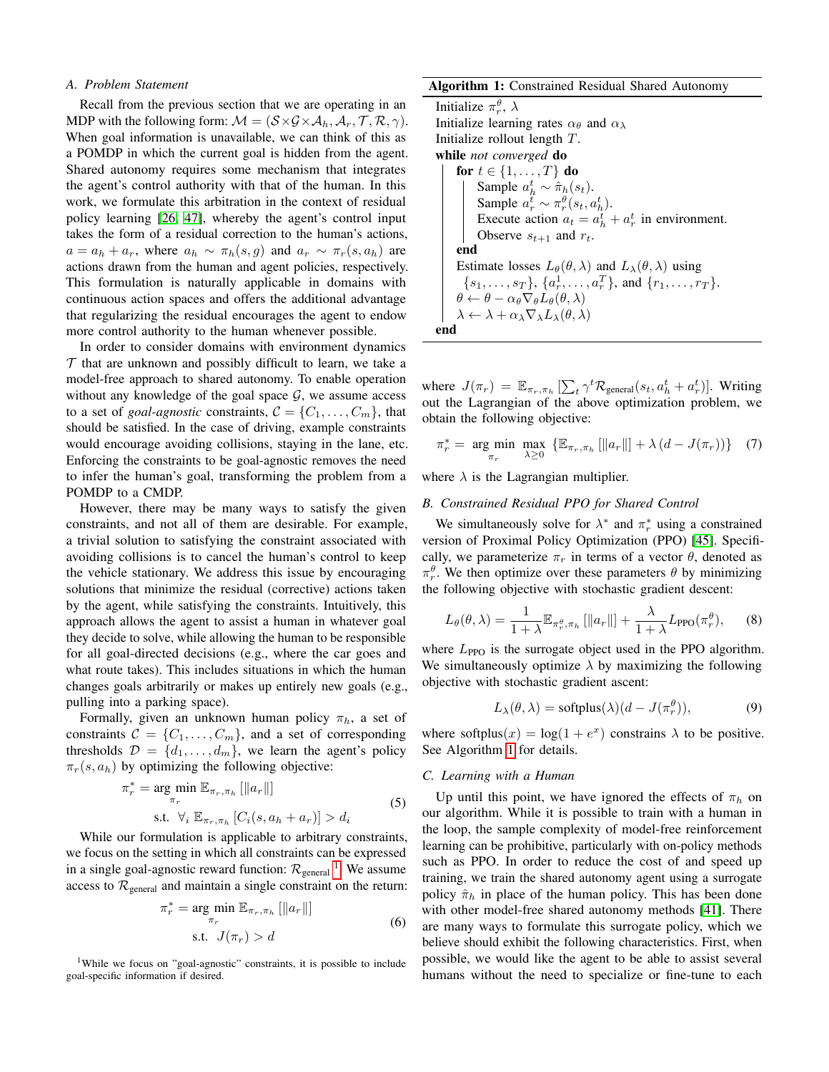#### *A. Problem Statement*

Recall from the previous section that we are operating in an MDP with the following form:  $\mathcal{M} = (\mathcal{S} \times \mathcal{G} \times \mathcal{A}_h, \mathcal{A}_r, \mathcal{T}, \mathcal{R}, \gamma)$ . When goal information is unavailable, we can think of this as a POMDP in which the current goal is hidden from the agent. Shared autonomy requires some mechanism that integrates the agent's control authority with that of the human. In this work, we formulate this arbitration in the context of residual policy learning [\[26,](#page-8-15) [47\]](#page-9-7), whereby the agent's control input takes the form of a residual correction to the human's actions,  $a = a_h + a_r$ , where  $a_h \sim \pi_h(s, g)$  and  $a_r \sim \pi_r(s, a_h)$  are actions drawn from the human and agent policies, respectively. This formulation is naturally applicable in domains with continuous action spaces and offers the additional advantage that regularizing the residual encourages the agent to endow more control authority to the human whenever possible.

In order to consider domains with environment dynamics  $\mathcal T$  that are unknown and possibly difficult to learn, we take a model-free approach to shared autonomy. To enable operation without any knowledge of the goal space  $G$ , we assume access to a set of *goal-agnostic* constraints,  $C = \{C_1, \ldots, C_m\}$ , that should be satisfied. In the case of driving, example constraints would encourage avoiding collisions, staying in the lane, etc. Enforcing the constraints to be goal-agnostic removes the need to infer the human's goal, transforming the problem from a POMDP to a CMDP.

However, there may be many ways to satisfy the given constraints, and not all of them are desirable. For example, a trivial solution to satisfying the constraint associated with avoiding collisions is to cancel the human's control to keep the vehicle stationary. We address this issue by encouraging solutions that minimize the residual (corrective) actions taken by the agent, while satisfying the constraints. Intuitively, this approach allows the agent to assist a human in whatever goal they decide to solve, while allowing the human to be responsible for all goal-directed decisions (e.g., where the car goes and what route takes). This includes situations in which the human changes goals arbitrarily or makes up entirely new goals (e.g., pulling into a parking space).

Formally, given an unknown human policy  $\pi_h$ , a set of constraints  $C = \{C_1, \ldots, C_m\}$ , and a set of corresponding thresholds  $\mathcal{D} = \{d_1, \ldots, d_m\}$ , we learn the agent's policy  $\pi_r(s, a_h)$  by optimizing the following objective:

$$
\pi_r^* = \underset{\pi_r}{\arg \min} \mathbb{E}_{\pi_r, \pi_h} [\|a_r\|]
$$
\n
$$
\text{s.t. } \forall_i \mathbb{E}_{\pi_r, \pi_h} [C_i(s, a_h + a_r)] > d_i \tag{5}
$$

While our formulation is applicable to arbitrary constraints, we focus on the setting in which all constraints can be expressed in a single goal-agnostic reward function:  $\mathcal{R}_{\text{general}}^{-1}$  $\mathcal{R}_{\text{general}}^{-1}$  $\mathcal{R}_{\text{general}}^{-1}$ . We assume access to  $\mathcal{R}_{\text{general}}$  and maintain a single constraint on the return:

$$
\pi_r^* = \underset{\pi_r}{\arg \min} \mathbb{E}_{\pi_r, \pi_h} [\|a_r\|]
$$
\n
$$
\text{s.t. } J(\pi_r) > d
$$
\n(6)

<span id="page-3-0"></span><sup>1</sup>While we focus on "goal-agnostic" constraints, it is possible to include goal-specific information if desired.

## Algorithm 1: Constrained Residual Shared Autonomy

Initialize  $\pi_r^{\theta}$ ,  $\lambda$ Initialize learning rates  $\alpha_{\theta}$  and  $\alpha_{\lambda}$ Initialize rollout length T. while *not converged* do for  $t \in \{1, \ldots, T\}$  do Sample  $a_h^t \sim \hat{\pi}_h(s_t)$ . Sample  $a_r^t \sim \pi_r^\theta(s_t, a_h^t)$ . Execute action  $a_t = a_h^t + a_r^t$  in environment. Observe  $s_{t+1}$  and  $r_t$ . end Estimate losses  $L_{\theta}(\theta, \lambda)$  and  $L_{\lambda}(\theta, \lambda)$  using  $\{s_1, \ldots, s_T\}, \{a_r^1, \ldots, a_r^T\}, \text{ and } \{r_1, \ldots, r_T\}.$  $\theta \leftarrow \theta - \alpha_{\theta} \nabla_{\theta} L_{\theta}(\theta, \lambda)$  $\lambda \leftarrow \lambda + \alpha_{\lambda} \nabla_{\lambda} L_{\lambda}(\theta, \lambda)$ end

where  $J(\pi_r) = \mathbb{E}_{\pi_r, \pi_h} [\sum_t \gamma^t \mathcal{R}_{\text{general}}(s_t, a_h^t + a_r^t)].$  Writing out the Lagrangian of the above optimization problem, we obtain the following objective:

$$
\pi_r^* = \underset{\pi_r}{\text{arg min}} \max_{\lambda \ge 0} \left\{ \mathbb{E}_{\pi_r, \pi_h} \left[ \left\| a_r \right\| \right] + \lambda \left( d - J(\pi_r) \right) \right\} \quad (7)
$$

where  $\lambda$  is the Lagrangian multiplier.

#### *B. Constrained Residual PPO for Shared Control*

<span id="page-3-1"></span>We simultaneously solve for  $\lambda^*$  and  $\pi_r^*$  using a constrained version of Proximal Policy Optimization (PPO) [\[45\]](#page-9-5). Specifically, we parameterize  $\pi_r$  in terms of a vector  $\theta$ , denoted as  $\pi_r^{\theta}$ . We then optimize over these parameters  $\theta$  by minimizing the following objective with stochastic gradient descent:

$$
L_{\theta}(\theta,\lambda) = \frac{1}{1+\lambda} \mathbb{E}_{\pi_r^{\theta},\pi_h} \left[ ||a_r|| \right] + \frac{\lambda}{1+\lambda} L_{\text{PPO}}(\pi_r^{\theta}), \quad (8)
$$

where  $L_{\text{PPO}}$  is the surrogate object used in the PPO algorithm. We simultaneously optimize  $\lambda$  by maximizing the following objective with stochastic gradient ascent:

$$
L_{\lambda}(\theta, \lambda) = \text{softplus}(\lambda)(d - J(\pi_r^{\theta})), \tag{9}
$$

where softplus $(x) = \log(1 + e^x)$  constrains  $\lambda$  to be positive. See Algorithm [1](#page-3-1) for details.

## *C. Learning with a Human*

Up until this point, we have ignored the effects of  $\pi_h$  on our algorithm. While it is possible to train with a human in the loop, the sample complexity of model-free reinforcement learning can be prohibitive, particularly with on-policy methods such as PPO. In order to reduce the cost of and speed up training, we train the shared autonomy agent using a surrogate policy  $\hat{\pi}_h$  in place of the human policy. This has been done with other model-free shared autonomy methods [\[41\]](#page-9-3). There are many ways to formulate this surrogate policy, which we believe should exhibit the following characteristics. First, when possible, we would like the agent to be able to assist several humans without the need to specialize or fine-tune to each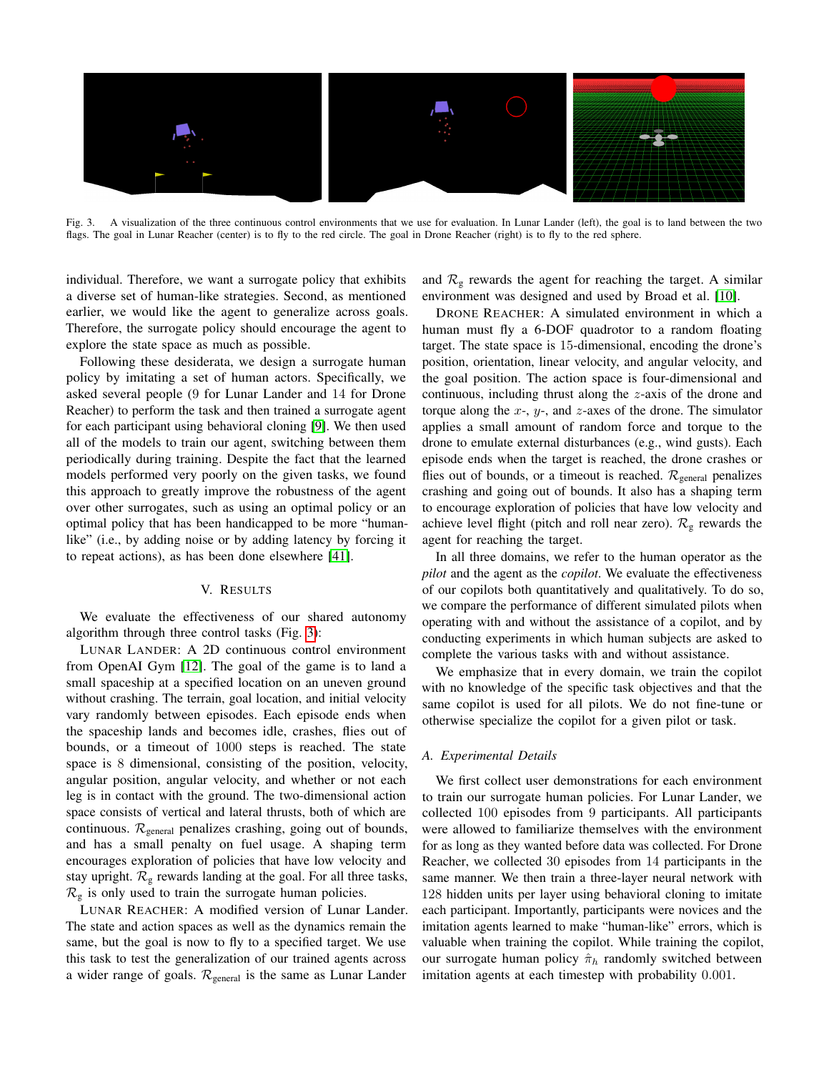

<span id="page-4-0"></span>Fig. 3. A visualization of the three continuous control environments that we use for evaluation. In Lunar Lander (left), the goal is to land between the two flags. The goal in Lunar Reacher (center) is to fly to the red circle. The goal in Drone Reacher (right) is to fly to the red sphere.

individual. Therefore, we want a surrogate policy that exhibits a diverse set of human-like strategies. Second, as mentioned earlier, we would like the agent to generalize across goals. Therefore, the surrogate policy should encourage the agent to explore the state space as much as possible.

Following these desiderata, we design a surrogate human policy by imitating a set of human actors. Specifically, we asked several people (9 for Lunar Lander and 14 for Drone Reacher) to perform the task and then trained a surrogate agent for each participant using behavioral cloning [\[9\]](#page-8-31). We then used all of the models to train our agent, switching between them periodically during training. Despite the fact that the learned models performed very poorly on the given tasks, we found this approach to greatly improve the robustness of the agent over other surrogates, such as using an optimal policy or an optimal policy that has been handicapped to be more "humanlike" (i.e., by adding noise or by adding latency by forcing it to repeat actions), as has been done elsewhere [\[41\]](#page-9-3).

## V. RESULTS

We evaluate the effectiveness of our shared autonomy algorithm through three control tasks (Fig. [3\)](#page-4-0):

LUNAR LANDER: A 2D continuous control environment from OpenAI Gym [\[12\]](#page-8-32). The goal of the game is to land a small spaceship at a specified location on an uneven ground without crashing. The terrain, goal location, and initial velocity vary randomly between episodes. Each episode ends when the spaceship lands and becomes idle, crashes, flies out of bounds, or a timeout of 1000 steps is reached. The state space is 8 dimensional, consisting of the position, velocity, angular position, angular velocity, and whether or not each leg is in contact with the ground. The two-dimensional action space consists of vertical and lateral thrusts, both of which are continuous.  $\mathcal{R}_{\text{general}}$  penalizes crashing, going out of bounds, and has a small penalty on fuel usage. A shaping term encourages exploration of policies that have low velocity and stay upright.  $\mathcal{R}_g$  rewards landing at the goal. For all three tasks,  $\mathcal{R}_g$  is only used to train the surrogate human policies.

LUNAR REACHER: A modified version of Lunar Lander. The state and action spaces as well as the dynamics remain the same, but the goal is now to fly to a specified target. We use this task to test the generalization of our trained agents across a wider range of goals.  $\mathcal{R}_{\text{general}}$  is the same as Lunar Lander

and  $\mathcal{R}_g$  rewards the agent for reaching the target. A similar environment was designed and used by Broad et al. [\[10\]](#page-8-9).

DRONE REACHER: A simulated environment in which a human must fly a 6-DOF quadrotor to a random floating target. The state space is 15-dimensional, encoding the drone's position, orientation, linear velocity, and angular velocity, and the goal position. The action space is four-dimensional and continuous, including thrust along the z-axis of the drone and torque along the  $x$ -,  $y$ -, and  $z$ -axes of the drone. The simulator applies a small amount of random force and torque to the drone to emulate external disturbances (e.g., wind gusts). Each episode ends when the target is reached, the drone crashes or flies out of bounds, or a timeout is reached.  $\mathcal{R}_{\text{general}}$  penalizes crashing and going out of bounds. It also has a shaping term to encourage exploration of policies that have low velocity and achieve level flight (pitch and roll near zero).  $\mathcal{R}_{g}$  rewards the agent for reaching the target.

In all three domains, we refer to the human operator as the *pilot* and the agent as the *copilot*. We evaluate the effectiveness of our copilots both quantitatively and qualitatively. To do so, we compare the performance of different simulated pilots when operating with and without the assistance of a copilot, and by conducting experiments in which human subjects are asked to complete the various tasks with and without assistance.

We emphasize that in every domain, we train the copilot with no knowledge of the specific task objectives and that the same copilot is used for all pilots. We do not fine-tune or otherwise specialize the copilot for a given pilot or task.

#### *A. Experimental Details*

We first collect user demonstrations for each environment to train our surrogate human policies. For Lunar Lander, we collected 100 episodes from 9 participants. All participants were allowed to familiarize themselves with the environment for as long as they wanted before data was collected. For Drone Reacher, we collected 30 episodes from 14 participants in the same manner. We then train a three-layer neural network with 128 hidden units per layer using behavioral cloning to imitate each participant. Importantly, participants were novices and the imitation agents learned to make "human-like" errors, which is valuable when training the copilot. While training the copilot, our surrogate human policy  $\hat{\pi}_h$  randomly switched between imitation agents at each timestep with probability 0.001.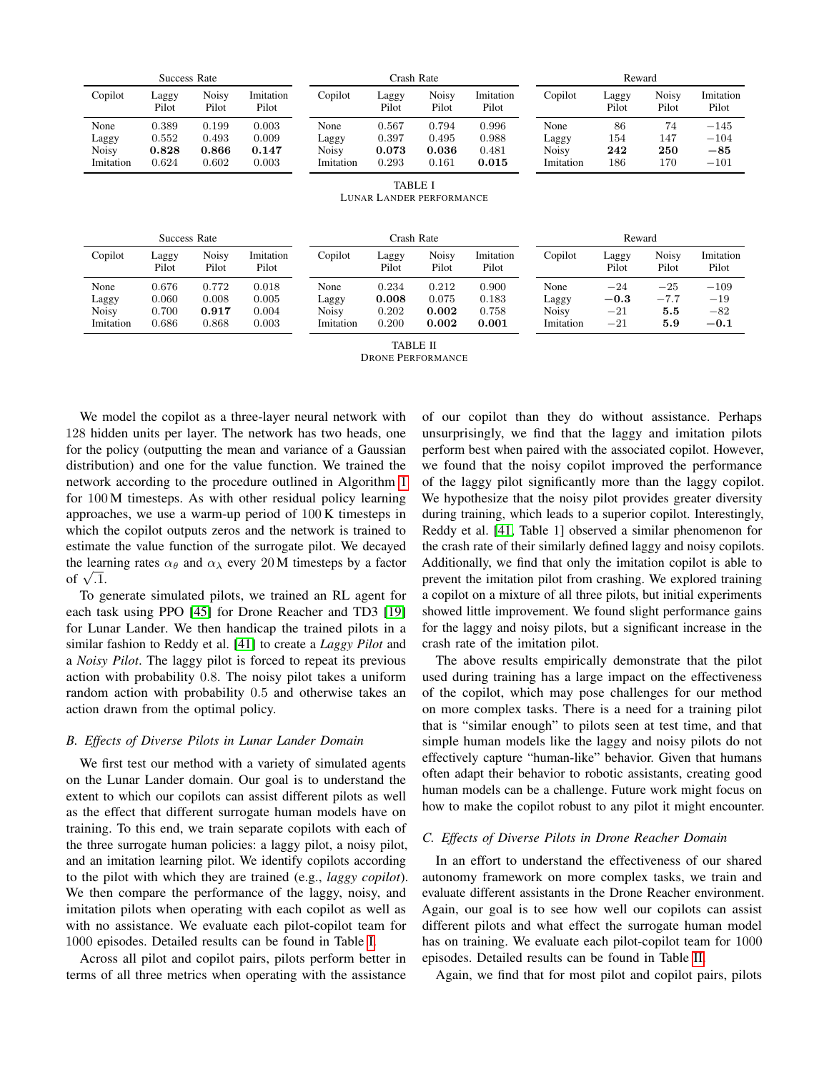| Success Rate |                |                |                    | Crash Rate   |                        |                |                    | Reward       |                |                |                    |
|--------------|----------------|----------------|--------------------|--------------|------------------------|----------------|--------------------|--------------|----------------|----------------|--------------------|
| Copilot      | Laggy<br>Pilot | Noisy<br>Pilot | Imitation<br>Pilot | Copilot      | $\text{Lagy}$<br>Pilot | Noisy<br>Pilot | Imitation<br>Pilot | Copilot      | Laggy<br>Pilot | Noisy<br>Pilot | Imitation<br>Pilot |
| None         | 0.389          | 0.199          | 0.003              | None         | 0.567                  | 0.794          | 0.996              | None         | 86             | 74             | $-145$             |
| Laggy        | 0.552          | 0.493          | 0.009              | Laggy        | 0.397                  | 0.495          | 0.988              | Laggy        | 154            | 147            | $-104$             |
| <b>Noisy</b> | 0.828          | 0.866          | 0.147              | <b>Noisy</b> | 0.073                  | 0.036          | 0.481              | <b>Noisy</b> | 242            | 250            | $-85$              |
| Imitation    | 0.624          | 0.602          | 0.003              | Imitation    | 0.293                  | 0.161          | 0.015              | Imitation    | 186            | 170            | $-101$             |
|              |                |                |                    |              | <b>TABLE I</b>         |                |                    |              |                |                |                    |

LUNAR LANDER PERFORMANCE

<span id="page-5-0"></span>

| Success Rate |                |                |                    | Crash Rate |                |                |                    | Reward    |                |                |                    |
|--------------|----------------|----------------|--------------------|------------|----------------|----------------|--------------------|-----------|----------------|----------------|--------------------|
| Copilot      | Laggy<br>Pilot | Noisv<br>Pilot | Imitation<br>Pilot | Copilot    | Laggy<br>Pilot | Noisv<br>Pilot | Imitation<br>Pilot | Copilot   | Laggy<br>Pilot | Noisy<br>Pilot | Imitation<br>Pilot |
| None         | 0.676          | 0.772          | 0.018              | None       | 0.234          | 0.212          | 0.900              | None      | $-24$          | $-25$          | $-109$             |
| Laggy        | 0.060          | 0.008          | 0.005              | Laggy      | 0.008          | 0.075          | 0.183              | Laggy     | $-0.3\,$       | $-7.7$         | $-19$              |
| <b>Noisy</b> | 0.700          | 0.917          | 0.004              | Noisv      | 0.202          | 0.002          | 0.758              | Noisy     | $-21$          | 5.5            | $-82$              |
| Imitation    | 0.686          | 0.868          | 0.003              | Imitation  | 0.200          | 0.002          | 0.001              | Imitation | $-21$          | 5.9            | $-0.1$             |

TABLE II

DRONE PERFORMANCE

<span id="page-5-1"></span>We model the copilot as a three-layer neural network with 128 hidden units per layer. The network has two heads, one for the policy (outputting the mean and variance of a Gaussian distribution) and one for the value function. We trained the network according to the procedure outlined in Algorithm [1](#page-3-1) for 100 M timesteps. As with other residual policy learning approaches, we use a warm-up period of 100 K timesteps in which the copilot outputs zeros and the network is trained to estimate the value function of the surrogate pilot. We decayed the learning rates  $\alpha_{\theta}$  and  $\alpha_{\lambda}$  every 20 M timesteps by a factor the lear of  $\sqrt{.1}$ .

To generate simulated pilots, we trained an RL agent for each task using PPO [\[45\]](#page-9-5) for Drone Reacher and TD3 [\[19\]](#page-8-33) for Lunar Lander. We then handicap the trained pilots in a similar fashion to Reddy et al. [\[41\]](#page-9-3) to create a *Laggy Pilot* and a *Noisy Pilot*. The laggy pilot is forced to repeat its previous action with probability 0.8. The noisy pilot takes a uniform random action with probability 0.5 and otherwise takes an action drawn from the optimal policy.

## *B. Effects of Diverse Pilots in Lunar Lander Domain*

We first test our method with a variety of simulated agents on the Lunar Lander domain. Our goal is to understand the extent to which our copilots can assist different pilots as well as the effect that different surrogate human models have on training. To this end, we train separate copilots with each of the three surrogate human policies: a laggy pilot, a noisy pilot, and an imitation learning pilot. We identify copilots according to the pilot with which they are trained (e.g., *laggy copilot*). We then compare the performance of the laggy, noisy, and imitation pilots when operating with each copilot as well as with no assistance. We evaluate each pilot-copilot team for 1000 episodes. Detailed results can be found in Table [I.](#page-5-0)

Across all pilot and copilot pairs, pilots perform better in terms of all three metrics when operating with the assistance

of our copilot than they do without assistance. Perhaps unsurprisingly, we find that the laggy and imitation pilots perform best when paired with the associated copilot. However, we found that the noisy copilot improved the performance of the laggy pilot significantly more than the laggy copilot. We hypothesize that the noisy pilot provides greater diversity during training, which leads to a superior copilot. Interestingly, Reddy et al. [\[41,](#page-9-3) Table 1] observed a similar phenomenon for the crash rate of their similarly defined laggy and noisy copilots. Additionally, we find that only the imitation copilot is able to prevent the imitation pilot from crashing. We explored training a copilot on a mixture of all three pilots, but initial experiments showed little improvement. We found slight performance gains for the laggy and noisy pilots, but a significant increase in the crash rate of the imitation pilot.

The above results empirically demonstrate that the pilot used during training has a large impact on the effectiveness of the copilot, which may pose challenges for our method on more complex tasks. There is a need for a training pilot that is "similar enough" to pilots seen at test time, and that simple human models like the laggy and noisy pilots do not effectively capture "human-like" behavior. Given that humans often adapt their behavior to robotic assistants, creating good human models can be a challenge. Future work might focus on how to make the copilot robust to any pilot it might encounter.

#### *C. Effects of Diverse Pilots in Drone Reacher Domain*

In an effort to understand the effectiveness of our shared autonomy framework on more complex tasks, we train and evaluate different assistants in the Drone Reacher environment. Again, our goal is to see how well our copilots can assist different pilots and what effect the surrogate human model has on training. We evaluate each pilot-copilot team for 1000 episodes. Detailed results can be found in Table [II.](#page-5-1)

Again, we find that for most pilot and copilot pairs, pilots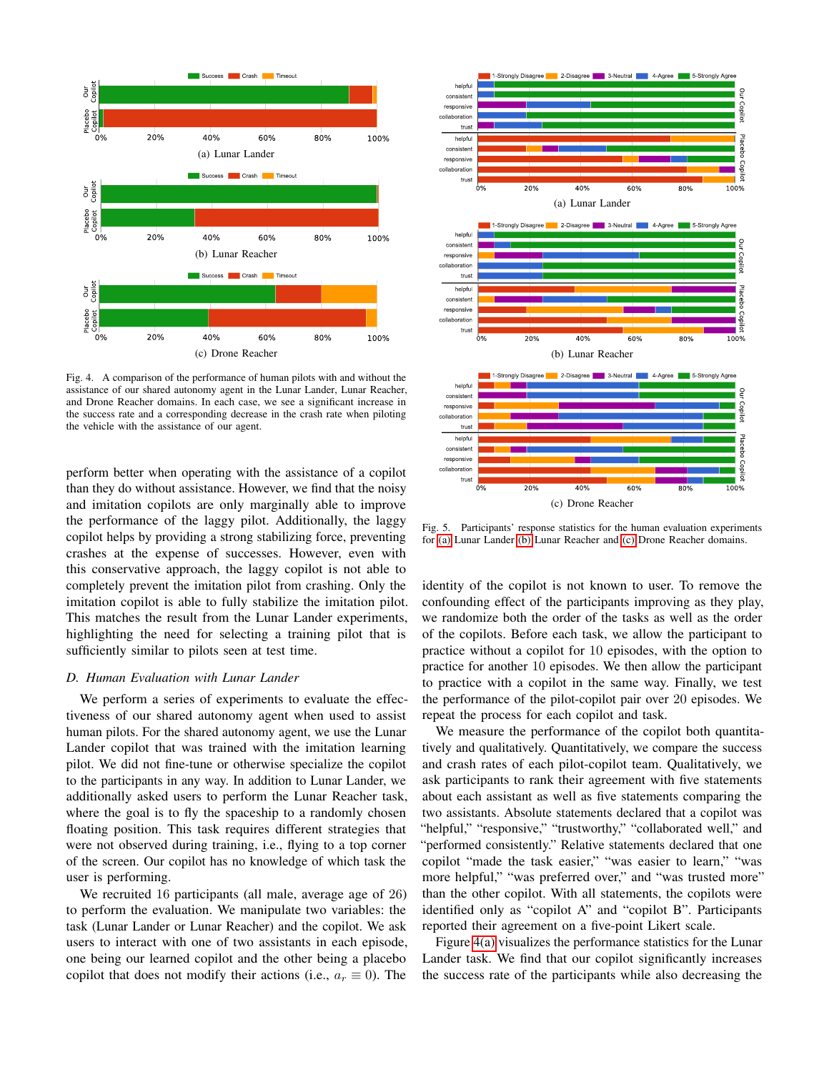<span id="page-6-4"></span><span id="page-6-3"></span>

<span id="page-6-5"></span>Fig. 4. A comparison of the performance of human pilots with and without the assistance of our shared autonomy agent in the Lunar Lander, Lunar Reacher, and Drone Reacher domains. In each case, we see a significant increase in the success rate and a corresponding decrease in the crash rate when piloting the vehicle with the assistance of our agent.

perform better when operating with the assistance of a copilot than they do without assistance. However, we find that the noisy and imitation copilots are only marginally able to improve the performance of the laggy pilot. Additionally, the laggy copilot helps by providing a strong stabilizing force, preventing crashes at the expense of successes. However, even with this conservative approach, the laggy copilot is not able to completely prevent the imitation pilot from crashing. Only the imitation copilot is able to fully stabilize the imitation pilot. This matches the result from the Lunar Lander experiments, highlighting the need for selecting a training pilot that is sufficiently similar to pilots seen at test time.

## *D. Human Evaluation with Lunar Lander*

We perform a series of experiments to evaluate the effectiveness of our shared autonomy agent when used to assist human pilots. For the shared autonomy agent, we use the Lunar Lander copilot that was trained with the imitation learning pilot. We did not fine-tune or otherwise specialize the copilot to the participants in any way. In addition to Lunar Lander, we additionally asked users to perform the Lunar Reacher task, where the goal is to fly the spaceship to a randomly chosen floating position. This task requires different strategies that were not observed during training, i.e., flying to a top corner of the screen. Our copilot has no knowledge of which task the user is performing.

We recruited 16 participants (all male, average age of 26) to perform the evaluation. We manipulate two variables: the task (Lunar Lander or Lunar Reacher) and the copilot. We ask users to interact with one of two assistants in each episode, one being our learned copilot and the other being a placebo copilot that does not modify their actions (i.e.,  $a_r \equiv 0$ ). The

<span id="page-6-1"></span><span id="page-6-0"></span>

<span id="page-6-2"></span>Fig. 5. Participants' response statistics for the human evaluation experiments for [\(a\)](#page-6-0) Lunar Lander [\(b\)](#page-6-1) Lunar Reacher and [\(c\)](#page-6-2) Drone Reacher domains.

identity of the copilot is not known to user. To remove the confounding effect of the participants improving as they play, we randomize both the order of the tasks as well as the order of the copilots. Before each task, we allow the participant to practice without a copilot for 10 episodes, with the option to practice for another 10 episodes. We then allow the participant to practice with a copilot in the same way. Finally, we test the performance of the pilot-copilot pair over 20 episodes. We repeat the process for each copilot and task.

We measure the performance of the copilot both quantitatively and qualitatively. Quantitatively, we compare the success and crash rates of each pilot-copilot team. Qualitatively, we ask participants to rank their agreement with five statements about each assistant as well as five statements comparing the two assistants. Absolute statements declared that a copilot was "helpful," "responsive," "trustworthy," "collaborated well," and "performed consistently." Relative statements declared that one copilot "made the task easier," "was easier to learn," "was more helpful," "was preferred over," and "was trusted more" than the other copilot. With all statements, the copilots were identified only as "copilot A" and "copilot B". Participants reported their agreement on a five-point Likert scale.

Figure [4\(a\)](#page-6-3) visualizes the performance statistics for the Lunar Lander task. We find that our copilot significantly increases the success rate of the participants while also decreasing the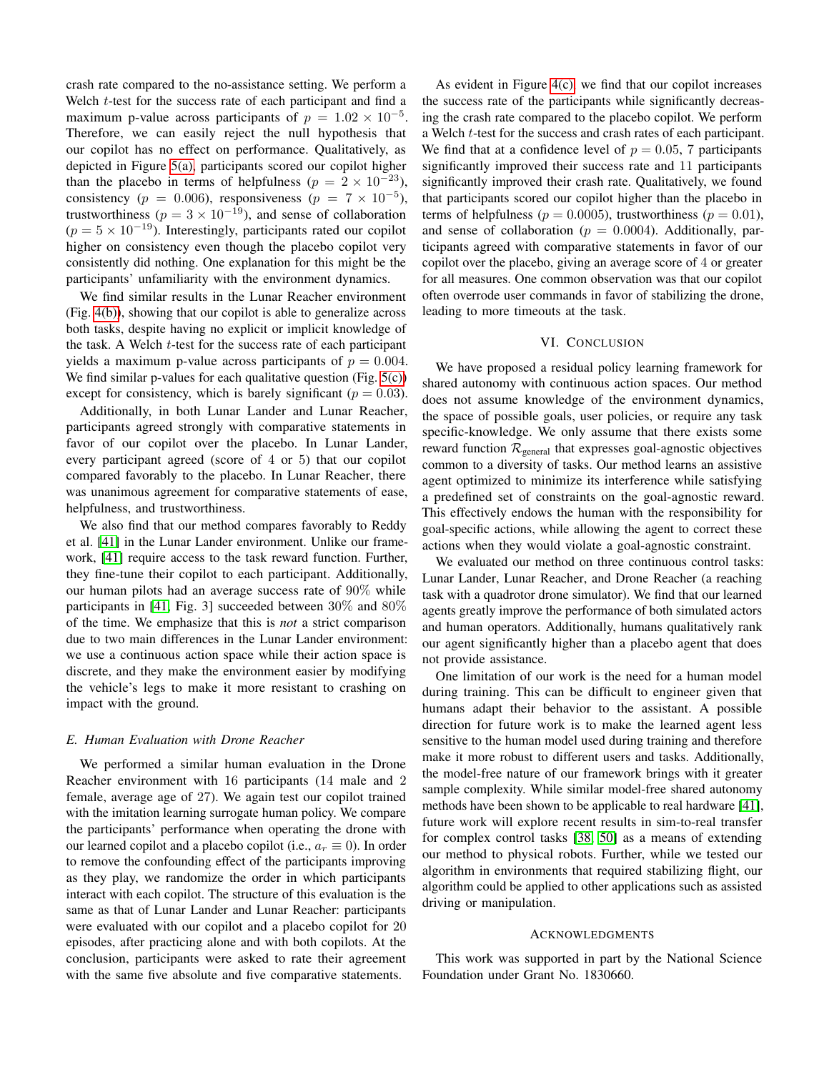crash rate compared to the no-assistance setting. We perform a Welch  $t$ -test for the success rate of each participant and find a maximum p-value across participants of  $p = 1.02 \times 10^{-5}$ . Therefore, we can easily reject the null hypothesis that our copilot has no effect on performance. Qualitatively, as depicted in Figure [5\(a\),](#page-6-0) participants scored our copilot higher than the placebo in terms of helpfulness ( $p = 2 \times 10^{-23}$ ), consistency ( $p = 0.006$ ), responsiveness ( $p = 7 \times 10^{-5}$ ), trustworthiness ( $p = 3 \times 10^{-19}$ ), and sense of collaboration  $(p = 5 \times 10^{-19})$ . Interestingly, participants rated our copilot higher on consistency even though the placebo copilot very consistently did nothing. One explanation for this might be the participants' unfamiliarity with the environment dynamics.

We find similar results in the Lunar Reacher environment (Fig. [4\(b\)\)](#page-6-4), showing that our copilot is able to generalize across both tasks, despite having no explicit or implicit knowledge of the task. A Welch t-test for the success rate of each participant yields a maximum p-value across participants of  $p = 0.004$ . We find similar p-values for each qualitative question (Fig. [5\(c\)\)](#page-6-2) except for consistency, which is barely significant ( $p = 0.03$ ).

Additionally, in both Lunar Lander and Lunar Reacher, participants agreed strongly with comparative statements in favor of our copilot over the placebo. In Lunar Lander, every participant agreed (score of 4 or 5) that our copilot compared favorably to the placebo. In Lunar Reacher, there was unanimous agreement for comparative statements of ease, helpfulness, and trustworthiness.

We also find that our method compares favorably to Reddy et al. [\[41\]](#page-9-3) in the Lunar Lander environment. Unlike our framework, [\[41\]](#page-9-3) require access to the task reward function. Further, they fine-tune their copilot to each participant. Additionally, our human pilots had an average success rate of 90% while participants in [\[41,](#page-9-3) Fig. 3] succeeded between 30% and 80% of the time. We emphasize that this is *not* a strict comparison due to two main differences in the Lunar Lander environment: we use a continuous action space while their action space is discrete, and they make the environment easier by modifying the vehicle's legs to make it more resistant to crashing on impact with the ground.

#### *E. Human Evaluation with Drone Reacher*

We performed a similar human evaluation in the Drone Reacher environment with 16 participants (14 male and 2 female, average age of 27). We again test our copilot trained with the imitation learning surrogate human policy. We compare the participants' performance when operating the drone with our learned copilot and a placebo copilot (i.e.,  $a_r \equiv 0$ ). In order to remove the confounding effect of the participants improving as they play, we randomize the order in which participants interact with each copilot. The structure of this evaluation is the same as that of Lunar Lander and Lunar Reacher: participants were evaluated with our copilot and a placebo copilot for 20 episodes, after practicing alone and with both copilots. At the conclusion, participants were asked to rate their agreement with the same five absolute and five comparative statements.

As evident in Figure [4\(c\),](#page-6-5) we find that our copilot increases the success rate of the participants while significantly decreasing the crash rate compared to the placebo copilot. We perform a Welch t-test for the success and crash rates of each participant. We find that at a confidence level of  $p = 0.05$ , 7 participants significantly improved their success rate and 11 participants significantly improved their crash rate. Qualitatively, we found that participants scored our copilot higher than the placebo in terms of helpfulness ( $p = 0.0005$ ), trustworthiness ( $p = 0.01$ ), and sense of collaboration ( $p = 0.0004$ ). Additionally, participants agreed with comparative statements in favor of our copilot over the placebo, giving an average score of 4 or greater for all measures. One common observation was that our copilot often overrode user commands in favor of stabilizing the drone, leading to more timeouts at the task.

## VI. CONCLUSION

We have proposed a residual policy learning framework for shared autonomy with continuous action spaces. Our method does not assume knowledge of the environment dynamics, the space of possible goals, user policies, or require any task specific-knowledge. We only assume that there exists some reward function  $\mathcal{R}_{general}$  that expresses goal-agnostic objectives common to a diversity of tasks. Our method learns an assistive agent optimized to minimize its interference while satisfying a predefined set of constraints on the goal-agnostic reward. This effectively endows the human with the responsibility for goal-specific actions, while allowing the agent to correct these actions when they would violate a goal-agnostic constraint.

We evaluated our method on three continuous control tasks: Lunar Lander, Lunar Reacher, and Drone Reacher (a reaching task with a quadrotor drone simulator). We find that our learned agents greatly improve the performance of both simulated actors and human operators. Additionally, humans qualitatively rank our agent significantly higher than a placebo agent that does not provide assistance.

One limitation of our work is the need for a human model during training. This can be difficult to engineer given that humans adapt their behavior to the assistant. A possible direction for future work is to make the learned agent less sensitive to the human model used during training and therefore make it more robust to different users and tasks. Additionally, the model-free nature of our framework brings with it greater sample complexity. While similar model-free shared autonomy methods have been shown to be applicable to real hardware [\[41\]](#page-9-3), future work will explore recent results in sim-to-real transfer for complex control tasks [\[38,](#page-9-17) [50\]](#page-9-6) as a means of extending our method to physical robots. Further, while we tested our algorithm in environments that required stabilizing flight, our algorithm could be applied to other applications such as assisted driving or manipulation.

## ACKNOWLEDGMENTS

This work was supported in part by the National Science Foundation under Grant No. 1830660.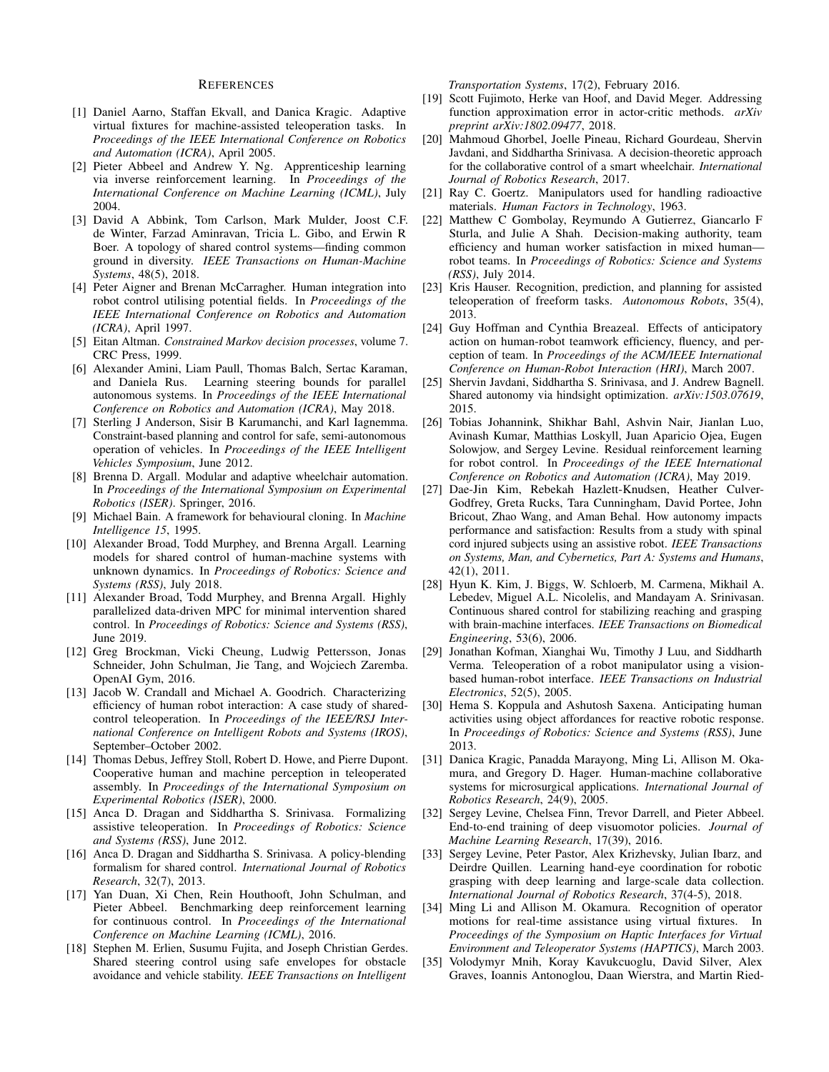#### REFERENCES

- <span id="page-8-22"></span>[1] Daniel Aarno, Staffan Ekvall, and Danica Kragic. Adaptive virtual fixtures for machine-assisted teleoperation tasks. In *Proceedings of the IEEE International Conference on Robotics and Automation (ICRA)*, April 2005.
- <span id="page-8-26"></span>[2] Pieter Abbeel and Andrew Y. Ng. Apprenticeship learning via inverse reinforcement learning. In *Proceedings of the International Conference on Machine Learning (ICML)*, July 2004.
- <span id="page-8-0"></span>[3] David A Abbink, Tom Carlson, Mark Mulder, Joost C.F. de Winter, Farzad Aminravan, Tricia L. Gibo, and Erwin R Boer. A topology of shared control systems—finding common ground in diversity. *IEEE Transactions on Human-Machine Systems*, 48(5), 2018.
- <span id="page-8-1"></span>[4] Peter Aigner and Brenan McCarragher. Human integration into robot control utilising potential fields. In *Proceedings of the IEEE International Conference on Robotics and Automation (ICRA)*, April 1997.
- <span id="page-8-30"></span>[5] Eitan Altman. *Constrained Markov decision processes*, volume 7. CRC Press, 1999.
- <span id="page-8-27"></span>[6] Alexander Amini, Liam Paull, Thomas Balch, Sertac Karaman, and Daniela Rus. Learning steering bounds for parallel autonomous systems. In *Proceedings of the IEEE International Conference on Robotics and Automation (ICRA)*, May 2018.
- <span id="page-8-28"></span>[7] Sterling J Anderson, Sisir B Karumanchi, and Karl Iagnemma. Constraint-based planning and control for safe, semi-autonomous operation of vehicles. In *Proceedings of the IEEE Intelligent Vehicles Symposium*, June 2012.
- <span id="page-8-18"></span>[8] Brenna D. Argall. Modular and adaptive wheelchair automation. In *Proceedings of the International Symposium on Experimental Robotics (ISER)*. Springer, 2016.
- <span id="page-8-31"></span>[9] Michael Bain. A framework for behavioural cloning. In *Machine Intelligence 15*, 1995.
- <span id="page-8-9"></span>[10] Alexander Broad, Todd Murphey, and Brenna Argall. Learning models for shared control of human-machine systems with unknown dynamics. In *Proceedings of Robotics: Science and Systems (RSS)*, July 2018.
- <span id="page-8-23"></span>[11] Alexander Broad, Todd Murphey, and Brenna Argall. Highly parallelized data-driven MPC for minimal intervention shared control. In *Proceedings of Robotics: Science and Systems (RSS)*, June 2019.
- <span id="page-8-32"></span>[12] Greg Brockman, Vicki Cheung, Ludwig Pettersson, Jonas Schneider, John Schulman, Jie Tang, and Wojciech Zaremba. OpenAI Gym, 2016.
- <span id="page-8-20"></span>[13] Jacob W. Crandall and Michael A. Goodrich. Characterizing efficiency of human robot interaction: A case study of sharedcontrol teleoperation. In *Proceedings of the IEEE/RSJ International Conference on Intelligent Robots and Systems (IROS)*, September–October 2002.
- <span id="page-8-16"></span>[14] Thomas Debus, Jeffrey Stoll, Robert D. Howe, and Pierre Dupont. Cooperative human and machine perception in teleoperated assembly. In *Proceedings of the International Symposium on Experimental Robotics (ISER)*, 2000.
- <span id="page-8-2"></span>[15] Anca D. Dragan and Siddhartha S. Srinivasa. Formalizing assistive teleoperation. In *Proceedings of Robotics: Science and Systems (RSS)*, June 2012.
- <span id="page-8-3"></span>[16] Anca D. Dragan and Siddhartha S. Srinivasa. A policy-blending formalism for shared control. *International Journal of Robotics Research*, 32(7), 2013.
- <span id="page-8-11"></span>[17] Yan Duan, Xi Chen, Rein Houthooft, John Schulman, and Pieter Abbeel. Benchmarking deep reinforcement learning for continuous control. In *Proceedings of the International Conference on Machine Learning (ICML)*, 2016.
- <span id="page-8-29"></span>[18] Stephen M. Erlien, Susumu Fujita, and Joseph Christian Gerdes. Shared steering control using safe envelopes for obstacle avoidance and vehicle stability. *IEEE Transactions on Intelligent*

*Transportation Systems*, 17(2), February 2016.

- <span id="page-8-33"></span>[19] Scott Fujimoto, Herke van Hoof, and David Meger. Addressing function approximation error in actor-critic methods. *arXiv preprint arXiv:1802.09477*, 2018.
- <span id="page-8-19"></span>[20] Mahmoud Ghorbel, Joelle Pineau, Richard Gourdeau, Shervin Javdani, and Siddhartha Srinivasa. A decision-theoretic approach for the collaborative control of a smart wheelchair. *International Journal of Robotics Research*, 2017.
- <span id="page-8-4"></span>[21] Ray C. Goertz. Manipulators used for handling radioactive materials. *Human Factors in Technology*, 1963.
- <span id="page-8-5"></span>[22] Matthew C Gombolay, Reymundo A Gutierrez, Giancarlo F Sturla, and Julie A Shah. Decision-making authority, team efficiency and human worker satisfaction in mixed human robot teams. In *Proceedings of Robotics: Science and Systems (RSS)*, July 2014.
- <span id="page-8-7"></span>[23] Kris Hauser. Recognition, prediction, and planning for assisted teleoperation of freeform tasks. *Autonomous Robots*, 35(4), 2013.
- <span id="page-8-6"></span>[24] Guy Hoffman and Cynthia Breazeal. Effects of anticipatory action on human-robot teamwork efficiency, fluency, and perception of team. In *Proceedings of the ACM/IEEE International Conference on Human-Robot Interaction (HRI)*, March 2007.
- <span id="page-8-8"></span>[25] Shervin Javdani, Siddhartha S. Srinivasa, and J. Andrew Bagnell. Shared autonomy via hindsight optimization. *arXiv:1503.07619*, 2015.
- <span id="page-8-15"></span>[26] Tobias Johannink, Shikhar Bahl, Ashvin Nair, Jianlan Luo, Avinash Kumar, Matthias Loskyll, Juan Aparicio Ojea, Eugen Solowjow, and Sergey Levine. Residual reinforcement learning for robot control. In *Proceedings of the IEEE International Conference on Robotics and Automation (ICRA)*, May 2019.
- <span id="page-8-14"></span>[27] Dae-Jin Kim, Rebekah Hazlett-Knudsen, Heather Culver-Godfrey, Greta Rucks, Tara Cunningham, David Portee, John Bricout, Zhao Wang, and Aman Behal. How autonomy impacts performance and satisfaction: Results from a study with spinal cord injured subjects using an assistive robot. *IEEE Transactions on Systems, Man, and Cybernetics, Part A: Systems and Humans*, 42(1), 2011.
- <span id="page-8-17"></span>[28] Hyun K. Kim, J. Biggs, W. Schloerb, M. Carmena, Mikhail A. Lebedev, Miguel A.L. Nicolelis, and Mandayam A. Srinivasan. Continuous shared control for stabilizing reaching and grasping with brain-machine interfaces. *IEEE Transactions on Biomedical Engineering*, 53(6), 2006.
- <span id="page-8-21"></span>[29] Jonathan Kofman, Xianghai Wu, Timothy J Luu, and Siddharth Verma. Teleoperation of a robot manipulator using a visionbased human-robot interface. *IEEE Transactions on Industrial Electronics*, 52(5), 2005.
- [30] Hema S. Koppula and Ashutosh Saxena. Anticipating human activities using object affordances for reactive robotic response. In *Proceedings of Robotics: Science and Systems (RSS)*, June 2013.
- <span id="page-8-24"></span>[31] Danica Kragic, Panadda Marayong, Ming Li, Allison M. Okamura, and Gregory D. Hager. Human-machine collaborative systems for microsurgical applications. *International Journal of Robotics Research*, 24(9), 2005.
- <span id="page-8-12"></span>[32] Sergey Levine, Chelsea Finn, Trevor Darrell, and Pieter Abbeel. End-to-end training of deep visuomotor policies. *Journal of Machine Learning Research*, 17(39), 2016.
- <span id="page-8-13"></span>[33] Sergey Levine, Peter Pastor, Alex Krizhevsky, Julian Ibarz, and Deirdre Quillen. Learning hand-eye coordination for robotic grasping with deep learning and large-scale data collection. *International Journal of Robotics Research*, 37(4-5), 2018.
- <span id="page-8-25"></span>[34] Ming Li and Allison M. Okamura. Recognition of operator motions for real-time assistance using virtual fixtures. In *Proceedings of the Symposium on Haptic Interfaces for Virtual Environment and Teleoperator Systems (HAPTICS)*, March 2003.
- <span id="page-8-10"></span>[35] Volodymyr Mnih, Koray Kavukcuoglu, David Silver, Alex Graves, Ioannis Antonoglou, Daan Wierstra, and Martin Ried-